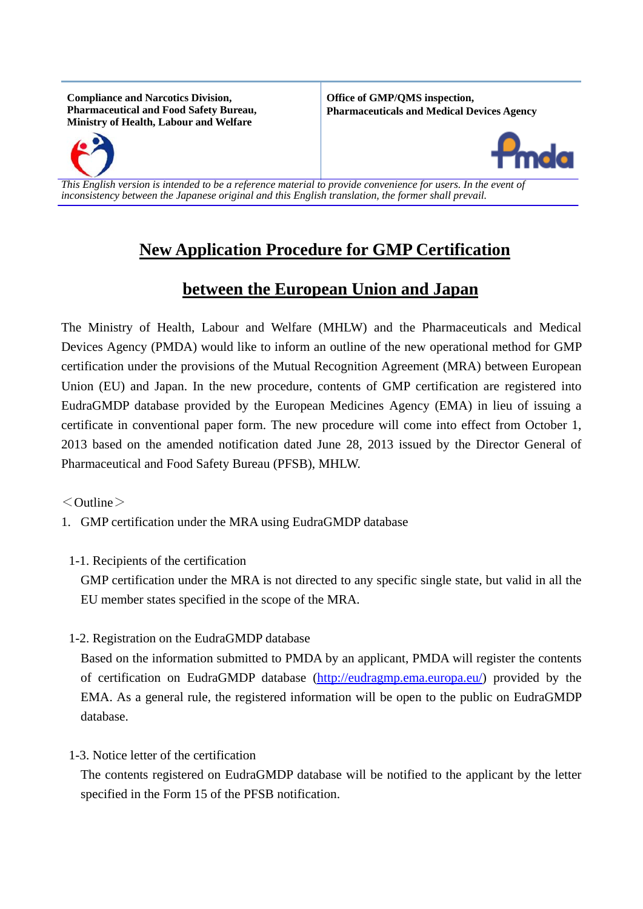**Compliance and Narcotics Division, Pharmaceutical and Food Safety Bureau, Ministry of Health, Labour and Welfare**

**Office of GMP/QMS inspection, Pharmaceuticals and Medical Devices Agency**





*This English version is intended to be a reference material to provide convenience for users. In the event of inconsistency between the Japanese original and this English translation, the former shall prevail.*

## **New Application Procedure for GMP Certification**

## **between the European Union and Japan**

The Ministry of Health, Labour and Welfare (MHLW) and the Pharmaceuticals and Medical Devices Agency (PMDA) would like to inform an outline of the new operational method for GMP certification under the provisions of the Mutual Recognition Agreement (MRA) between European Union (EU) and Japan. In the new procedure, contents of GMP certification are registered into EudraGMDP database provided by the European Medicines Agency (EMA) in lieu of issuing a certificate in conventional paper form. The new procedure will come into effect from October 1, 2013 based on the amended notification dated June 28, 2013 issued by the Director General of Pharmaceutical and Food Safety Bureau (PFSB), MHLW.

 $<$ Outline $>$ 

- 1. GMP certification under the MRA using EudraGMDP database
- 1-1. Recipients of the certification

GMP certification under the MRA is not directed to any specific single state, but valid in all the EU member states specified in the scope of the MRA.

1-2. Registration on the EudraGMDP database

Based on the information submitted to PMDA by an applicant, PMDA will register the contents of certification on EudraGMDP database [\(http://eudragmp.ema.europa.eu/\)](http://eudragmp.ema.europa.eu/) provided by the EMA. As a general rule, the registered information will be open to the public on EudraGMDP database.

1-3. Notice letter of the certification

The contents registered on EudraGMDP database will be notified to the applicant by the letter specified in the Form 15 of the PFSB notification.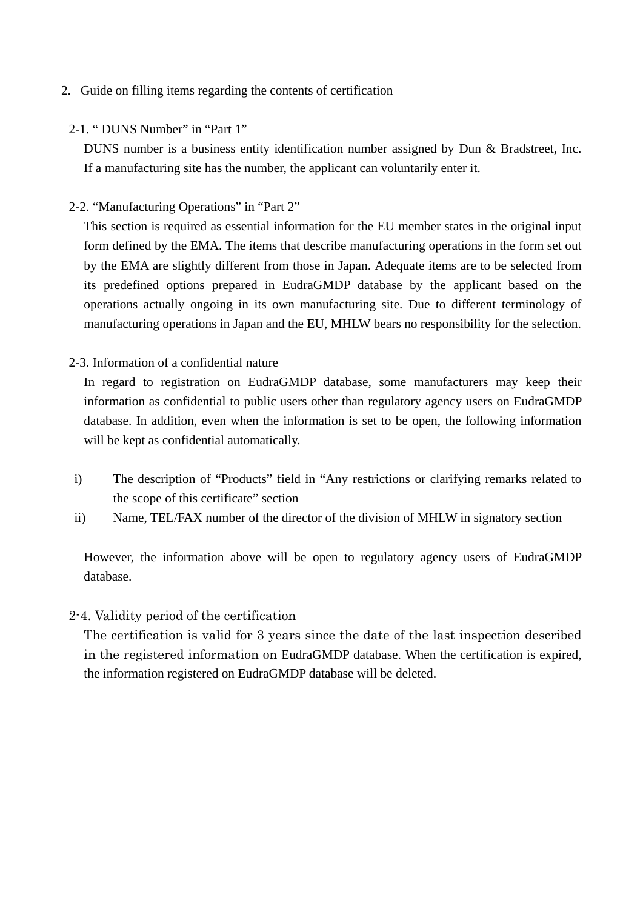## 2. Guide on filling items regarding the contents of certification

2-1. " DUNS Number" in "Part 1"

DUNS number is a business entity identification number assigned by Dun & Bradstreet, Inc. If a manufacturing site has the number, the applicant can voluntarily enter it.

2-2. "Manufacturing Operations" in "Part 2"

This section is required as essential information for the EU member states in the original input form defined by the EMA. The items that describe manufacturing operations in the form set out by the EMA are slightly different from those in Japan. Adequate items are to be selected from its predefined options prepared in EudraGMDP database by the applicant based on the operations actually ongoing in its own manufacturing site. Due to different terminology of manufacturing operations in Japan and the EU, MHLW bears no responsibility for the selection.

2-3. Information of a confidential nature

In regard to registration on EudraGMDP database, some manufacturers may keep their information as confidential to public users other than regulatory agency users on EudraGMDP database. In addition, even when the information is set to be open, the following information will be kept as confidential automatically.

- i) The description of "Products" field in "Any restrictions or clarifying remarks related to the scope of this certificate" section
- ii) Name, TEL/FAX number of the director of the division of MHLW in signatory section

However, the information above will be open to regulatory agency users of EudraGMDP database.

2-4. Validity period of the certification

The certification is valid for 3 years since the date of the last inspection described in the registered information on EudraGMDP database. When the certification is expired, the information registered on EudraGMDP database will be deleted.